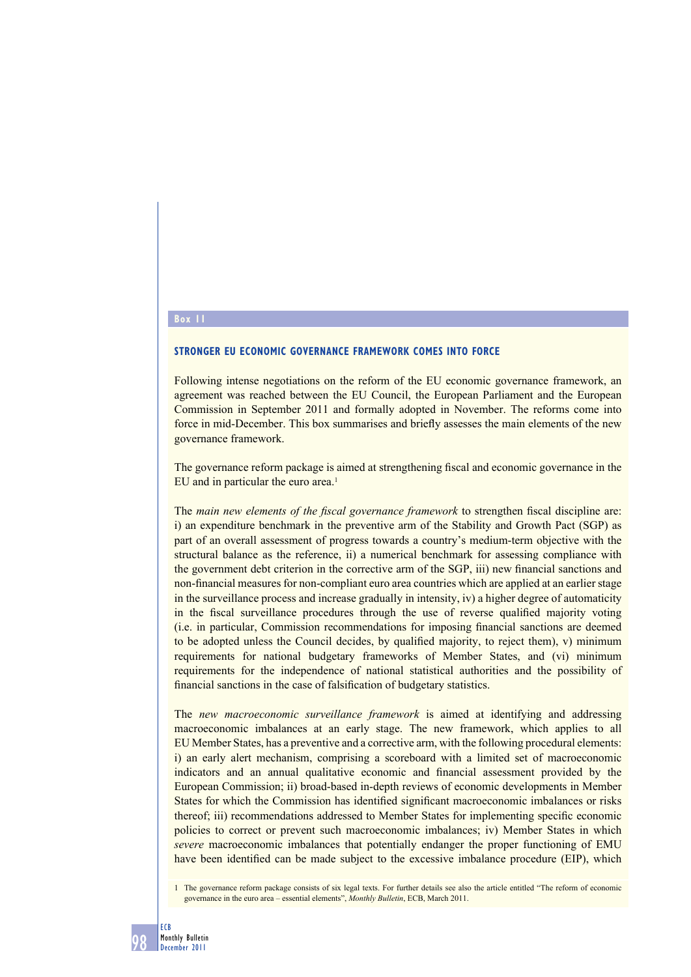### **Box 11**

# **STRONGER EU ECONOMIC GOVERNANCE FRAMEWORK COMES INTO FORCE**

Following intense negotiations on the reform of the EU economic governance framework, an agreement was reached between the EU Council, the European Parliament and the European Commission in September 2011 and formally adopted in November. The reforms come into force in mid-December. This box summarises and briefly assesses the main elements of the new governance framework.

The governance reform package is aimed at strengthening fiscal and economic governance in the EU and in particular the euro area.<sup>1</sup>

The *main new elements of the fiscal governance framework* to strengthen fiscal discipline are: i) an expenditure benchmark in the preventive arm of the Stability and Growth Pact (SGP) as part of an overall assessment of progress towards a country's medium-term objective with the structural balance as the reference, ii) a numerical benchmark for assessing compliance with the government debt criterion in the corrective arm of the SGP, iii) new financial sanctions and non-financial measures for non-compliant euro area countries which are applied at an earlier stage in the surveillance process and increase gradually in intensity, iv) a higher degree of automaticity in the fiscal surveillance procedures through the use of reverse qualified majority voting (i.e. in particular, Commission recommendations for imposing financial sanctions are deemed to be adopted unless the Council decides, by qualified majority, to reject them), v) minimum requirements for national budgetary frameworks of Member States, and (vi) minimum requirements for the independence of national statistical authorities and the possibility of financial sanctions in the case of falsification of budgetary statistics.

The *new macroeconomic surveillance framework* is aimed at identifying and addressing macroeconomic imbalances at an early stage. The new framework, which applies to all EU Member States, has a preventive and a corrective arm, with the following procedural elements: i) an early alert mechanism, comprising a scoreboard with a limited set of macroeconomic indicators and an annual qualitative economic and financial assessment provided by the European Commission; ii) broad-based in-depth reviews of economic developments in Member States for which the Commission has identified significant macroeconomic imbalances or risks thereof; iii) recommendations addressed to Member States for implementing specific economic policies to correct or prevent such macroeconomic imbalances; iv) Member States in which *severe* macroeconomic imbalances that potentially endanger the proper functioning of EMU have been identified can be made subject to the excessive imbalance procedure (EIP), which

1 The governance reform package consists of six legal texts. For further details see also the article entitled "The reform of economic governance in the euro area – essential elements", *Monthly Bulletin*, ECB, March 2011.

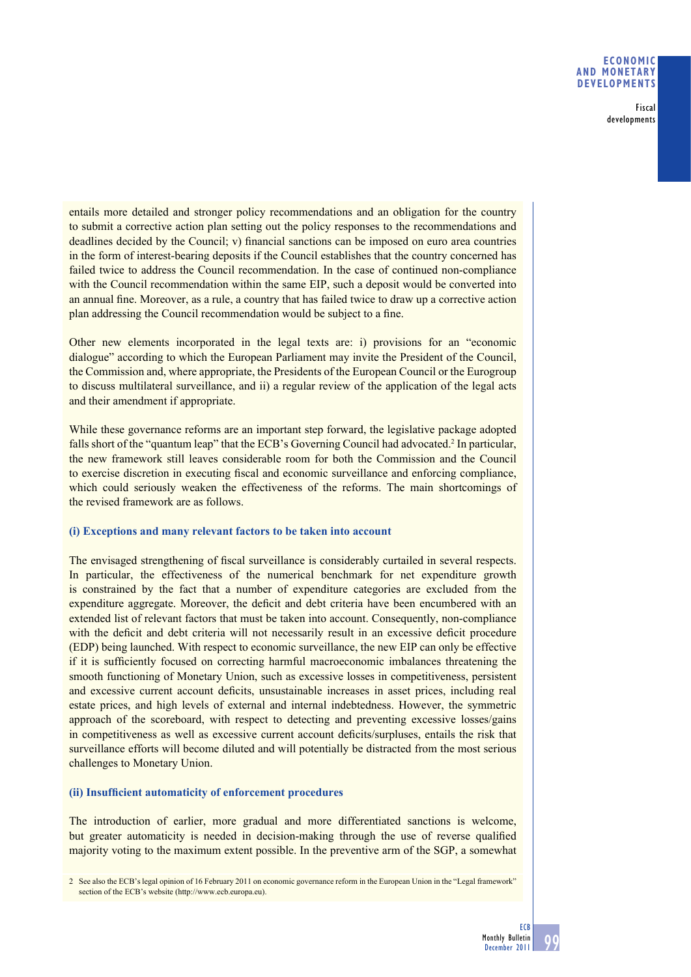# **ECONOMIC AND MONETARY DEVELOPMENTS**

Fiscal developments

entails more detailed and stronger policy recommendations and an obligation for the country to submit a corrective action plan setting out the policy responses to the recommendations and deadlines decided by the Council; v) financial sanctions can be imposed on euro area countries in the form of interest-bearing deposits if the Council establishes that the country concerned has failed twice to address the Council recommendation. In the case of continued non-compliance with the Council recommendation within the same EIP, such a deposit would be converted into an annual fine. Moreover, as a rule, a country that has failed twice to draw up a corrective action plan addressing the Council recommendation would be subject to a fine.

Other new elements incorporated in the legal texts are: i) provisions for an "economic dialogue" according to which the European Parliament may invite the President of the Council, the Commission and, where appropriate, the Presidents of the European Council or the Eurogroup to discuss multilateral surveillance, and ii) a regular review of the application of the legal acts and their amendment if appropriate.

While these governance reforms are an important step forward, the legislative package adopted falls short of the "quantum leap" that the ECB's Governing Council had advocated.<sup>2</sup> In particular, the new framework still leaves considerable room for both the Commission and the Council to exercise discretion in executing fiscal and economic surveillance and enforcing compliance, which could seriously weaken the effectiveness of the reforms. The main shortcomings of the revised framework are as follows.

# **(i) Exceptions and many relevant factors to be taken into account**

The envisaged strengthening of fiscal surveillance is considerably curtailed in several respects. In particular, the effectiveness of the numerical benchmark for net expenditure growth is constrained by the fact that a number of expenditure categories are excluded from the expenditure aggregate. Moreover, the deficit and debt criteria have been encumbered with an extended list of relevant factors that must be taken into account. Consequently, non-compliance with the deficit and debt criteria will not necessarily result in an excessive deficit procedure (EDP) being launched. With respect to economic surveillance, the new EIP can only be effective if it is sufficiently focused on correcting harmful macroeconomic imbalances threatening the smooth functioning of Monetary Union, such as excessive losses in competitiveness, persistent and excessive current account deficits, unsustainable increases in asset prices, including real estate prices, and high levels of external and internal indebtedness. However, the symmetric approach of the scoreboard, with respect to detecting and preventing excessive losses/gains in competitiveness as well as excessive current account deficits/surpluses, entails the risk that surveillance efforts will become diluted and will potentially be distracted from the most serious challenges to Monetary Union.

# (ii) Insufficient automaticity of enforcement procedures

The introduction of earlier, more gradual and more differentiated sanctions is welcome, but greater automaticity is needed in decision-making through the use of reverse qualified majority voting to the maximum extent possible. In the preventive arm of the SGP, a somewhat

<sup>2</sup> See also the ECB's legal opinion of 16 February 2011 on economic governance reform in the European Union in the "Legal framework" section of the ECB's website (http://www.ecb.europa.eu).